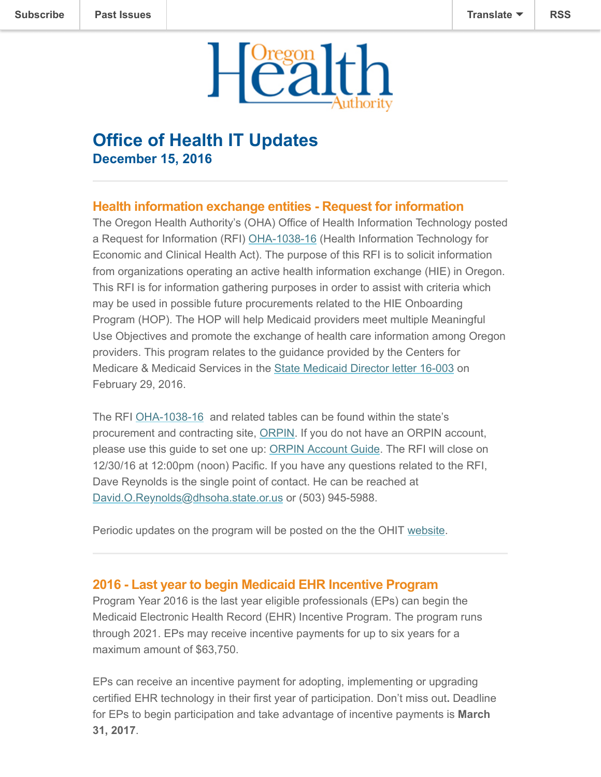

# **Office of Health IT Updates December 15, 2016**

## **Health information exchange entities - Request for information**

The Oregon Health Authority's (OHA) Office of Health Information Technology posted a Request for Information (RFI) [OHA-1038-16](http://orpin.oregon.gov/open.dll/submitLogin?language=En&disID=1879349) (Health Information Technology for Economic and Clinical Health Act). The purpose of this RFI is to solicit information from organizations operating an active health information exchange (HIE) in Oregon. This RFI is for information gathering purposes in order to assist with criteria which may be used in possible future procurements related to the HIE Onboarding Program (HOP). The HOP will help Medicaid providers meet multiple Meaningful Use Objectives and promote the exchange of health care information among Oregon providers. This program relates to the guidance provided by the Centers for Medicare & Medicaid Services in the [State Medicaid Director letter 16-003](https://www.medicaid.gov/federal-policy-guidance/downloads/SMD16003.pdf) on February 29, 2016.

The RFI [OHA-1038-16](http://orpin.oregon.gov/open.dll/submitLogin?language=En&disID=1879349) and related tables can be found within the state's procurement and contracting site, [ORPIN](http://orpin.oregon.gov/open.dll/). If you do not have an ORPIN account, please use this guide to set one up: [ORPIN Account Guide](http://www.oregon.gov/das/Procurement/Guiddoc/SupRegGuide.pdf). The RFI will close on 12/30/16 at 12:00pm (noon) Pacific. If you have any questions related to the RFI, Dave Reynolds is the single point of contact. He can be reached at [David.O.Reynolds@dhsoha.state.or.us](mailto:David.O.Reynolds@dhsoha.state.or.us) or (503) 945-5988.

Periodic updates on the program will be posted on the the OHIT [website.](https://www.oregon.gov/oha/OHIT/Pages/HIE-onboarding.aspx)

### **2016 - Last year to begin Medicaid EHR Incentive Program**

Program Year 2016 is the last year eligible professionals (EPs) can begin the Medicaid Electronic Health Record (EHR) Incentive Program. The program runs through 2021. EPs may receive incentive payments for up to six years for a maximum amount of \$63,750.

EPs can receive an incentive payment for adopting, implementing or upgrading certified EHR technology in their first year of participation. Don't miss out**.** Deadline for EPs to begin participation and take advantage of incentive payments is **March 31, 2017**.